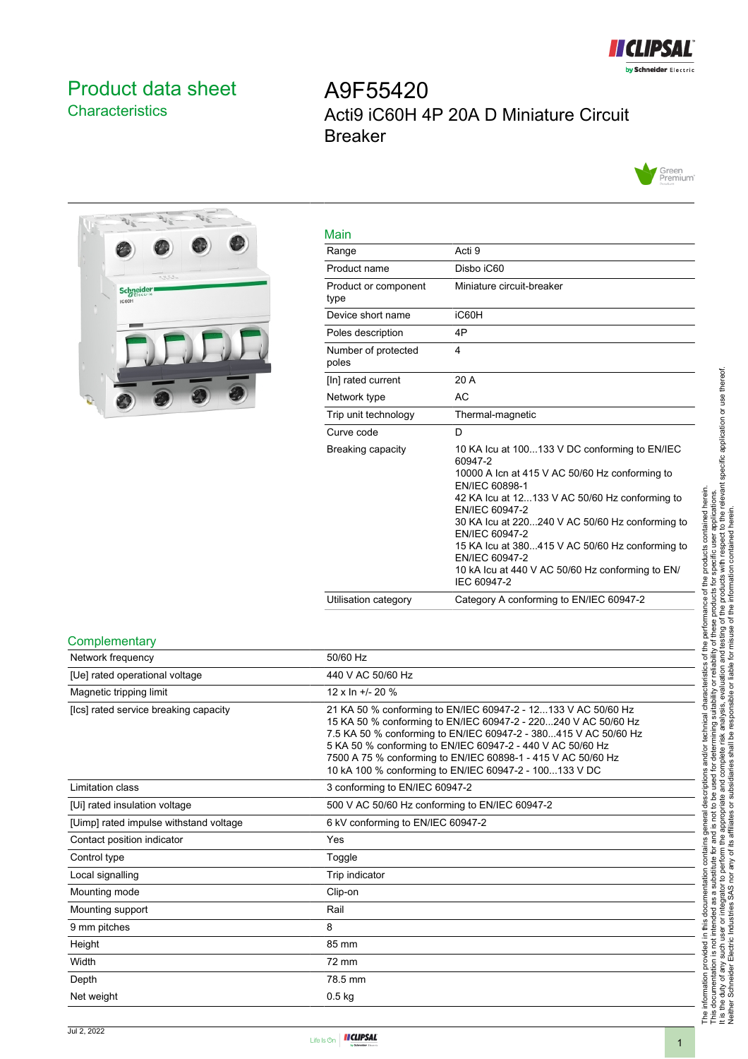

## <span id="page-0-0"></span>Product data sheet **Characteristics**

# A9F55420 Acti9 iC60H 4P 20A D Miniature Circuit Breaker





| Main                         |                                                                                                                                                                                                                                                                                                                                                                                                               |
|------------------------------|---------------------------------------------------------------------------------------------------------------------------------------------------------------------------------------------------------------------------------------------------------------------------------------------------------------------------------------------------------------------------------------------------------------|
| Range                        | Acti 9                                                                                                                                                                                                                                                                                                                                                                                                        |
| Product name                 | Disbo iC60                                                                                                                                                                                                                                                                                                                                                                                                    |
| Product or component<br>type | Miniature circuit-breaker                                                                                                                                                                                                                                                                                                                                                                                     |
| Device short name            | iC60H                                                                                                                                                                                                                                                                                                                                                                                                         |
| Poles description            | 4P                                                                                                                                                                                                                                                                                                                                                                                                            |
| Number of protected<br>poles | 4                                                                                                                                                                                                                                                                                                                                                                                                             |
| [In] rated current           | 20 A                                                                                                                                                                                                                                                                                                                                                                                                          |
| Network type                 | AC                                                                                                                                                                                                                                                                                                                                                                                                            |
| Trip unit technology         | Thermal-magnetic                                                                                                                                                                                                                                                                                                                                                                                              |
| Curve code                   | D                                                                                                                                                                                                                                                                                                                                                                                                             |
| Breaking capacity            | 10 KA Icu at 100133 V DC conforming to EN/IEC<br>60947-2<br>10000 A Icn at 415 V AC 50/60 Hz conforming to<br>EN/IEC 60898-1<br>42 KA Icu at 12133 V AC 50/60 Hz conforming to<br>EN/IEC 60947-2<br>30 KA lcu at 220240 V AC 50/60 Hz conforming to<br>EN/IEC 60947-2<br>15 KA lcu at 380415 V AC 50/60 Hz conforming to<br>EN/IEC 60947-2<br>10 kA lcu at 440 V AC 50/60 Hz conforming to EN/<br>IEC 60947-2 |
| Utilisation category         | Category A conforming to EN/IEC 60947-2                                                                                                                                                                                                                                                                                                                                                                       |

#### **Complementary**

| 50/60 Hz                                                                                                                                                                                                                                                                                                                                                                                   |
|--------------------------------------------------------------------------------------------------------------------------------------------------------------------------------------------------------------------------------------------------------------------------------------------------------------------------------------------------------------------------------------------|
| 440 V AC 50/60 Hz                                                                                                                                                                                                                                                                                                                                                                          |
| $12 \times \ln +120 \%$                                                                                                                                                                                                                                                                                                                                                                    |
| 21 KA 50 % conforming to EN/IEC 60947-2 - 12133 V AC 50/60 Hz<br>15 KA 50 % conforming to EN/IEC 60947-2 - 220240 V AC 50/60 Hz<br>7.5 KA 50 % conforming to EN/IEC 60947-2 - 380415 V AC 50/60 Hz<br>5 KA 50 % conforming to EN/IEC 60947-2 - 440 V AC 50/60 Hz<br>7500 A 75 % conforming to EN/IEC 60898-1 - 415 V AC 50/60 Hz<br>10 kA 100 % conforming to EN/IEC 60947-2 - 100133 V DC |
| 3 conforming to EN/IEC 60947-2                                                                                                                                                                                                                                                                                                                                                             |
| 500 V AC 50/60 Hz conforming to EN/IEC 60947-2                                                                                                                                                                                                                                                                                                                                             |
| 6 kV conforming to EN/IEC 60947-2                                                                                                                                                                                                                                                                                                                                                          |
| Yes                                                                                                                                                                                                                                                                                                                                                                                        |
| Toggle                                                                                                                                                                                                                                                                                                                                                                                     |
| Trip indicator                                                                                                                                                                                                                                                                                                                                                                             |
| Clip-on                                                                                                                                                                                                                                                                                                                                                                                    |
| Rail                                                                                                                                                                                                                                                                                                                                                                                       |
| 8                                                                                                                                                                                                                                                                                                                                                                                          |
| 85 mm                                                                                                                                                                                                                                                                                                                                                                                      |
| 72 mm                                                                                                                                                                                                                                                                                                                                                                                      |
| 78.5 mm                                                                                                                                                                                                                                                                                                                                                                                    |
| $0.5$ kg                                                                                                                                                                                                                                                                                                                                                                                   |
|                                                                                                                                                                                                                                                                                                                                                                                            |